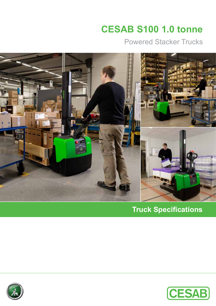# **CESAB S100 1.0 tonne**

Powered Stacker Trucks



**Truck Specifications**



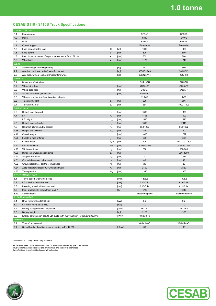## **1.0 tonne**

#### **CESAB S110 - S110S Truck Specifications**

| <b>CHARACTERISTICS</b> |                                                                                            |                  |         |                 |                             |  |  |  |  |  |
|------------------------|--------------------------------------------------------------------------------------------|------------------|---------|-----------------|-----------------------------|--|--|--|--|--|
| 1.1                    | Manufacturer                                                                               |                  |         | <b>CESAB</b>    | <b>CESAB</b>                |  |  |  |  |  |
| 1.2                    | Model                                                                                      |                  |         | S110            | S110S                       |  |  |  |  |  |
| 1.3                    | Drive                                                                                      |                  |         | Electric        | Electric                    |  |  |  |  |  |
| 1.4                    | Operator type                                                                              |                  |         | Pedestrian      | Pedestrian                  |  |  |  |  |  |
| 1.5                    | Load capacity/rated load                                                                   | Q                | [kg]    | 1000            | 1000                        |  |  |  |  |  |
| 1.6                    | Load centre                                                                                | $\mathbf c$      | [mm]    | 600             | 600                         |  |  |  |  |  |
| 1.8                    | Load distance, centre of support arm wheel to face of forks                                | x                | [mm]    | 805             | 800                         |  |  |  |  |  |
| 1.9                    | Wheelbase                                                                                  | y                | [mm]    | 1178            | 1210                        |  |  |  |  |  |
| <b>WEIGHT</b>          |                                                                                            |                  |         |                 |                             |  |  |  |  |  |
| 2.1                    | Service weight including battery                                                           |                  | [kg]    | 467             | 560                         |  |  |  |  |  |
| 2.2                    | Axle load, with load, drive/castor/fork wheel                                              |                  | [kg]    | 353/151/963     | 580/-/515                   |  |  |  |  |  |
| 2.3                    | Axle load, without load, drive/castor/fork wheel                                           |                  | [kg]    | 230/123/114     | 400/-/80                    |  |  |  |  |  |
| <b>WHEELS</b>          |                                                                                            |                  |         |                 |                             |  |  |  |  |  |
| 3.1                    | Drive/castor/fork wheel                                                                    |                  |         | PU/PU/PU        | PU/-/PU                     |  |  |  |  |  |
| 3.2                    | Wheel size, front                                                                          |                  | [mm]    | Ø250x60         | Ø250x60                     |  |  |  |  |  |
| 3.3                    | Wheel size, rear                                                                           |                  | [mm]    | Ø85x77          | Ø85x77                      |  |  |  |  |  |
| 3.4                    | Additional wheels (dimensions)                                                             |                  | [mm]    | Ø100x40         |                             |  |  |  |  |  |
| 3.5                    | Wheels, number front/rear (x=driven wheels)                                                |                  |         | $2 + 1x/2$      | 1x/2                        |  |  |  |  |  |
| 3.6                    | Track width, front                                                                         | $b_{10}$         | [mm]    | 506             | 506                         |  |  |  |  |  |
| 3.7                    | Track width, rear                                                                          | $b_{11}$         | [mm]    | 364             | 1000 - 1400                 |  |  |  |  |  |
|                        | <b>DIMENSIONS</b>                                                                          |                  |         |                 |                             |  |  |  |  |  |
| 4.2                    | Height, mast lowered                                                                       | $h_1$            | [mm]    | 1890            | 1890                        |  |  |  |  |  |
| 4.4                    | Lift                                                                                       | h <sub>3</sub>   | [mm]    | 1495            | 1500                        |  |  |  |  |  |
|                        | Lift height                                                                                | $h_{23}$         | [mm]    | 1580            | 1540                        |  |  |  |  |  |
| 4.5                    | Height, mast extended                                                                      | $h_a$            | [mm]    | 1890            | 2040                        |  |  |  |  |  |
| 4.9                    | Height of tiller in neutral position                                                       |                  |         | 858/1222        | 858/1222                    |  |  |  |  |  |
| 4.15                   | Height, fork lowered                                                                       | $h_{14}$         | [mm]    | 85              | 50                          |  |  |  |  |  |
| 4.19                   |                                                                                            | $h_{13}$         | [mm]    | 1680            | 1722                        |  |  |  |  |  |
| 4.20                   | Overall length                                                                             | $I_{1}$          | [mm]    | 530             | 572                         |  |  |  |  |  |
| 4.21                   | Length to face of forks<br>Overall width                                                   | $\mathsf{I}_{2}$ | [mm]    | 700             | 700/1100 -1500              |  |  |  |  |  |
|                        | Fork dimensions                                                                            | $b_1/b_2$        | [mm]    |                 |                             |  |  |  |  |  |
| 4.22                   |                                                                                            | s/e/l            | [mm]    | 60/180/1150     | 40/100/1150                 |  |  |  |  |  |
| 4.25                   | Width over forks                                                                           | b <sub>5</sub>   | [mm]    | 550             | 250-800<br>900 - 1300       |  |  |  |  |  |
| 4.26                   | Distance between support arms                                                              | $b_4$            | [mm]    | ×.              | 100                         |  |  |  |  |  |
| 4.27                   | Support arm width                                                                          | $b_{14}$         | [mm]    |                 | 49                          |  |  |  |  |  |
| 4.31                   | Ground clearance, below mast                                                               | m <sub>1</sub>   | [mm]    | 49              |                             |  |  |  |  |  |
| 4.32                   | Ground clearance, centre of wheelbase                                                      | m <sub>2</sub>   | [mm]    | 26              | 26                          |  |  |  |  |  |
| 4.34                   | Aisle width for pallets 800x1200 lengthways                                                | A <sub>st</sub>  | [mm]    | 2100            | 2130                        |  |  |  |  |  |
| 4.35                   | Turning radius                                                                             | W.               | [mm]    | 1340            | 1365                        |  |  |  |  |  |
|                        | PERFORMANCE DATA                                                                           |                  |         |                 |                             |  |  |  |  |  |
| 5.1                    | Travel speed, with/without load                                                            |                  | [km/h]  | 4.5/5.5         | 4.5/5.5                     |  |  |  |  |  |
| 5.2                    | Lift speed, with/without load                                                              |                  | [m/s]   | 0.12/0.21       | 0.10/0.19                   |  |  |  |  |  |
| 5.3                    | Lowering speed, with/without load                                                          |                  | [m/s]   | 0.15/0.14       | 0.15/0.14                   |  |  |  |  |  |
| 5.8                    | Max. gradeability, with/without load <sup>1)</sup>                                         |                  | [%]     | 6/10            | 6/10                        |  |  |  |  |  |
| 5.10                   | Service brake                                                                              |                  |         | Electromagnetic | Electromagnetic             |  |  |  |  |  |
|                        | <b>ELECTRIC MOTOR</b>                                                                      |                  |         |                 |                             |  |  |  |  |  |
| 6.1                    | Drive motor rating S2 60 min                                                               |                  | [kW]    | 0.7<br>1.2      | 0.7<br>1.2                  |  |  |  |  |  |
| 6.2                    | Lift motor rating at S3 11%                                                                |                  | [kW]    | 2x12/63         | 2x12/63                     |  |  |  |  |  |
| 6.4                    | Battery voltage/nominal capacity K.                                                        |                  | [V/Ah]  | 2x23            | 2x23                        |  |  |  |  |  |
| 6.5                    | Battery weight<br>Energy consumption acc. to VDI cycle (with h23=1580mm / with h23=2000mm) |                  | [kg]    |                 | $\mathcal{L}_{\mathcal{A}}$ |  |  |  |  |  |
| 6.6<br><b>OTHERS</b>   |                                                                                            |                  | [kWh/h] | 0.62 / 0.76     |                             |  |  |  |  |  |
| 8.1                    | Type of drive control                                                                      |                  |         | Variable AC     | Variable AC                 |  |  |  |  |  |
| 8.4                    | Sound level at the driver's ear according to EN 12 053                                     |                  | [dB(A)] | 66              | 66                          |  |  |  |  |  |
|                        |                                                                                            |                  |         |                 |                             |  |  |  |  |  |

1) Measured according to company standard

All data are based on table configuration. Other configurations may give other values.<br>Truck performance and dimensions are nominal and subject to tolerances.<br>Specifications are subject to change without notice.



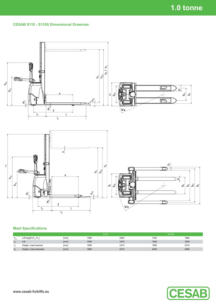#### **CESAB S110 - S110S Dimensional Drawings**



### **Mast Specifications**

|          |                            |      | S <sub>110</sub> |      | <b>S110S</b> |      |
|----------|----------------------------|------|------------------|------|--------------|------|
| $n_{23}$ | Lift height $(h_{13}+h_3)$ | [mm] | 1580             | 2000 | 1540         | 1960 |
| n,       | Lift                       | [mm] | 1495             | 1915 | 1500         | 1920 |
| n.       | Height, mast lowered       | [mm] | 1890             | 2310 | 1890         | 2310 |
| n        | Height, mast extended      | [mm] | 1890             | 2310 | 2040         | 2460 |